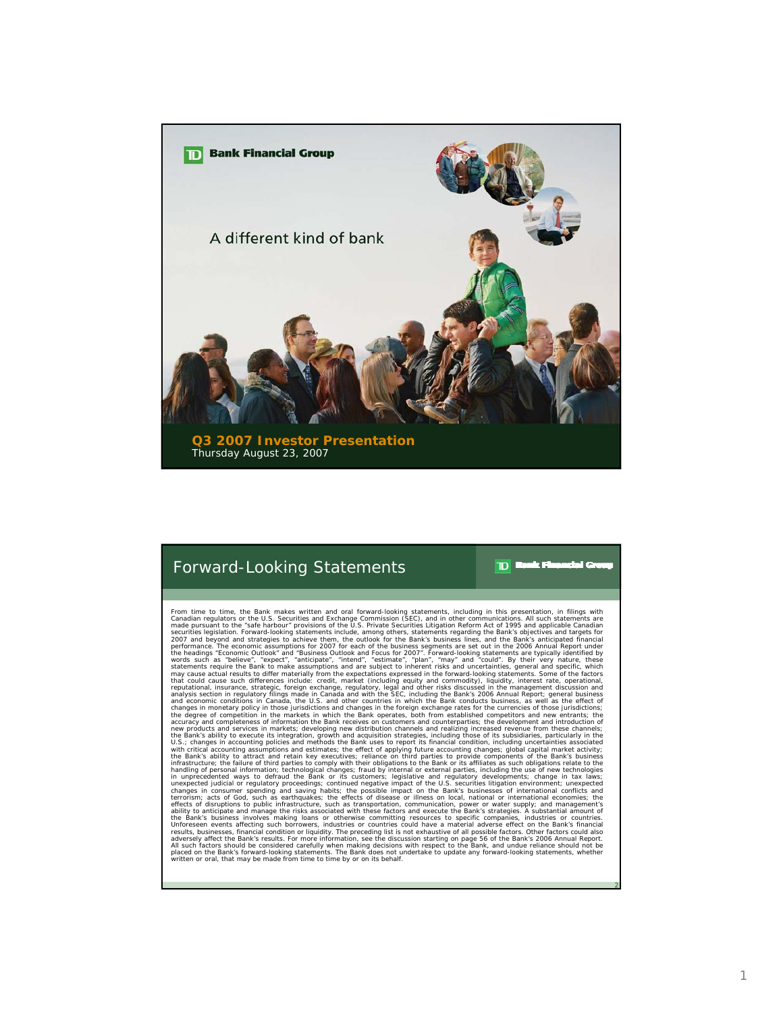

## Forward-Looking Statements

 $\mathbf{D}$  Basic Fi atal G

2

From time to time, the Bank makes wiriten and oral forward-looking statements, including in this presentation, in fillings with the statements in the Bank's contributed in the Same and proceed and the Same and the Same and All such factors should be considered carefully when making decisions with respect to the Bank, and undue reliance should not be<br>placed on the Bank's forward-looking statements. The Bank does not undertake to update any fo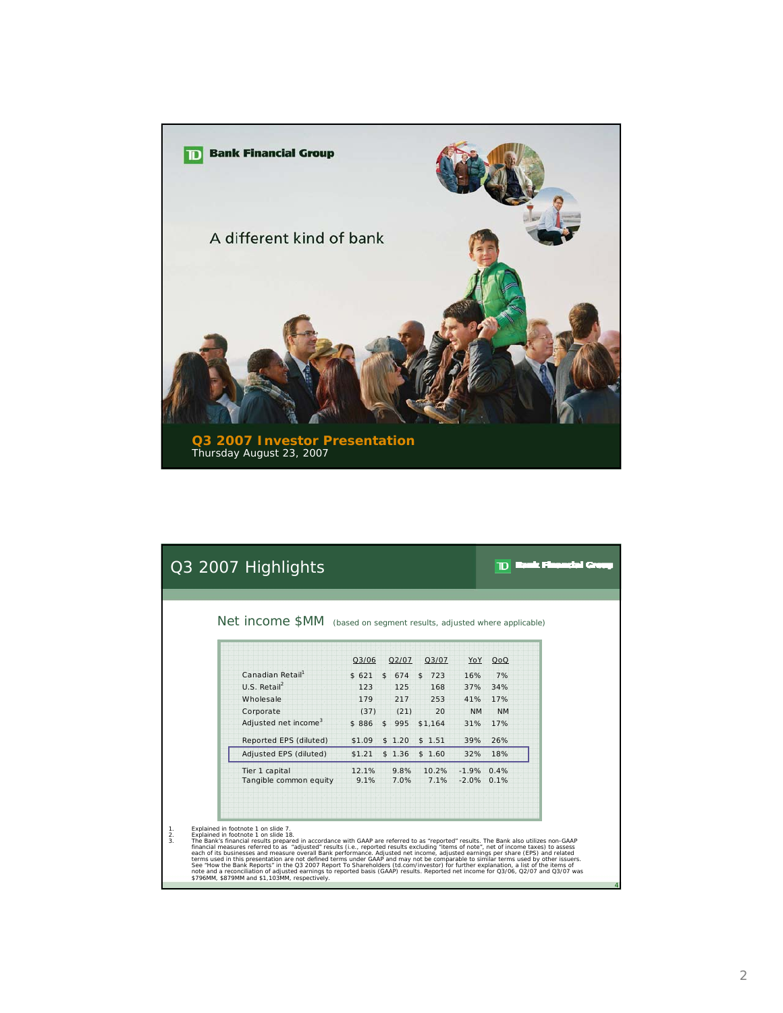

|                | Q3 2007 Highlights                                                                                                                                                                                                                                                                                                                                                                                                                                                                                                                                                                                                                                                                                                                                                                                                                                                                                                                                                   |                                                                                               |                                                                        |                                                                                                  |                                                                                              | וסד                                                       | uk Firencial Gr |
|----------------|----------------------------------------------------------------------------------------------------------------------------------------------------------------------------------------------------------------------------------------------------------------------------------------------------------------------------------------------------------------------------------------------------------------------------------------------------------------------------------------------------------------------------------------------------------------------------------------------------------------------------------------------------------------------------------------------------------------------------------------------------------------------------------------------------------------------------------------------------------------------------------------------------------------------------------------------------------------------|-----------------------------------------------------------------------------------------------|------------------------------------------------------------------------|--------------------------------------------------------------------------------------------------|----------------------------------------------------------------------------------------------|-----------------------------------------------------------|-----------------|
|                | Net income \$MM (based on segment results, adjusted where applicable)                                                                                                                                                                                                                                                                                                                                                                                                                                                                                                                                                                                                                                                                                                                                                                                                                                                                                                |                                                                                               |                                                                        |                                                                                                  |                                                                                              |                                                           |                 |
|                | Canadian Retail <sup>1</sup><br>U.S. Retail <sup>2</sup><br>Wholesale<br>Corporate<br>Adjusted net income <sup>3</sup><br>Reported EPS (diluted)<br>Adjusted EPS (diluted)<br>Tier 1 capital<br>Tangible common equity                                                                                                                                                                                                                                                                                                                                                                                                                                                                                                                                                                                                                                                                                                                                               | Q3/06<br>$$621$ \$674<br>123<br>179<br>(37)<br>$$886$ \$<br>\$1.09<br>\$1.21<br>12.1%<br>9.1% | Q2/07<br>125<br>217<br>(21)<br>995<br>\$1.20<br>\$1.36<br>9.8%<br>7.0% | Q3/07<br>723<br>$\mathbf{s}$<br>168<br>253<br>20<br>\$1,164<br>\$1.51<br>\$1.60<br>10.2%<br>7.1% | YoY<br>16%<br>37%<br>41%<br><b>NM</b><br>31%<br>39%<br>32%<br>$-1.9\%$ 0.4%<br>$-2.0\%$ 0.1% | QoQ<br>7%<br>34%<br>17%<br><b>NM</b><br>17%<br>26%<br>18% |                 |
| 1.<br>2.<br>3. | Explained in footnote 1 on slide 7.<br>Explained in footnote 1 on slide 18.<br>The Bank's financial results prepared in accordance with GAAP are referred to as "reported" results. The Bank also utilizes non-GAAP<br>financial measures referred to as "adjusted" results (i.e., reported results excluding "items of note", net of income taxes) to assess<br>each of its businesses and measure overall Bank performance. Adjusted net income, adjusted earnings per share (EPS) and related<br>terms used in this presentation are not defined terms under GAAP and may not be comparable to similar terms used by other issuers.<br>See "How the Bank Reports" in the Q3 2007 Report To Shareholders (td.com/investor) for further explanation, a list of the items of<br>note and a reconciliation of adjusted earnings to reported basis (GAAP) results. Reported net income for Q3/06, Q2/07 and Q3/07 was<br>\$796MM, \$879MM and \$1,103MM, respectively. |                                                                                               |                                                                        |                                                                                                  |                                                                                              |                                                           | $\Delta$        |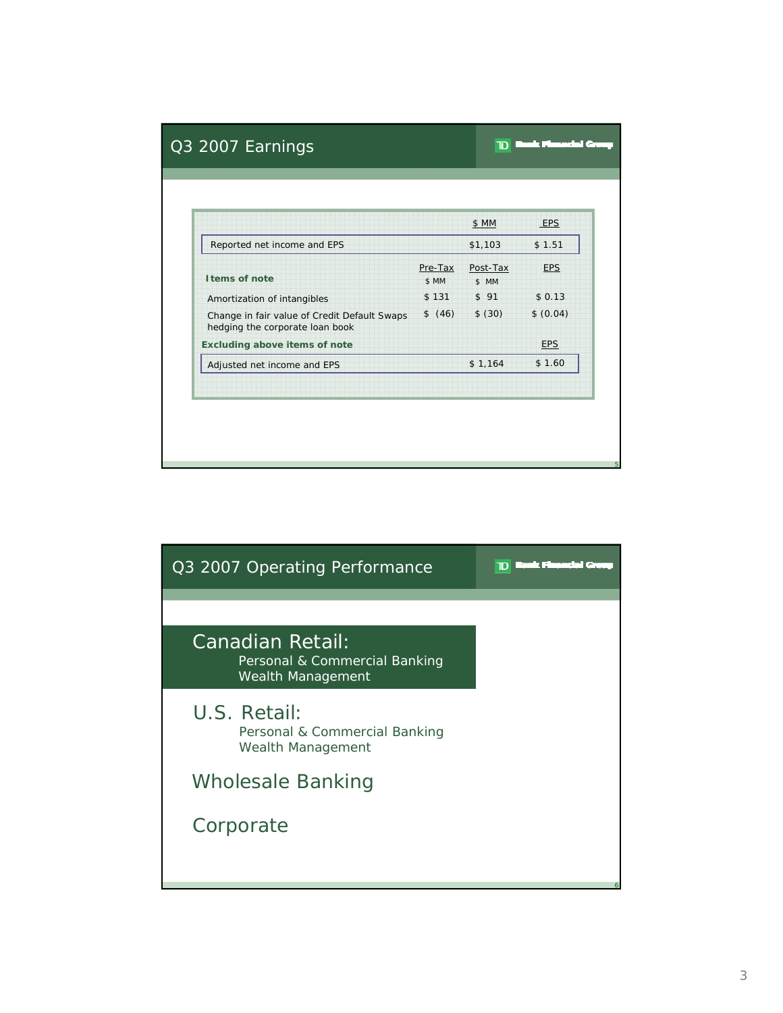|                                                                                 |                  | \$ MM             | <b>EPS</b> |
|---------------------------------------------------------------------------------|------------------|-------------------|------------|
| Reported net income and EPS                                                     |                  | \$1,103           | \$1.51     |
| I tems of note                                                                  | Pre-Tax<br>\$ MM | Post-Tax<br>\$ MM | <b>EPS</b> |
| Amortization of intangibles                                                     | \$131            | \$91              | \$0.13     |
| Change in fair value of Credit Default Swaps<br>hedging the corporate loan book | \$ (46)          | \$ (30)           | \$ (0.04)  |
| <b>Excluding above items of note</b>                                            |                  |                   | <b>EPS</b> |
| Adjusted net income and EPS                                                     |                  | \$1,164           | \$1.60     |

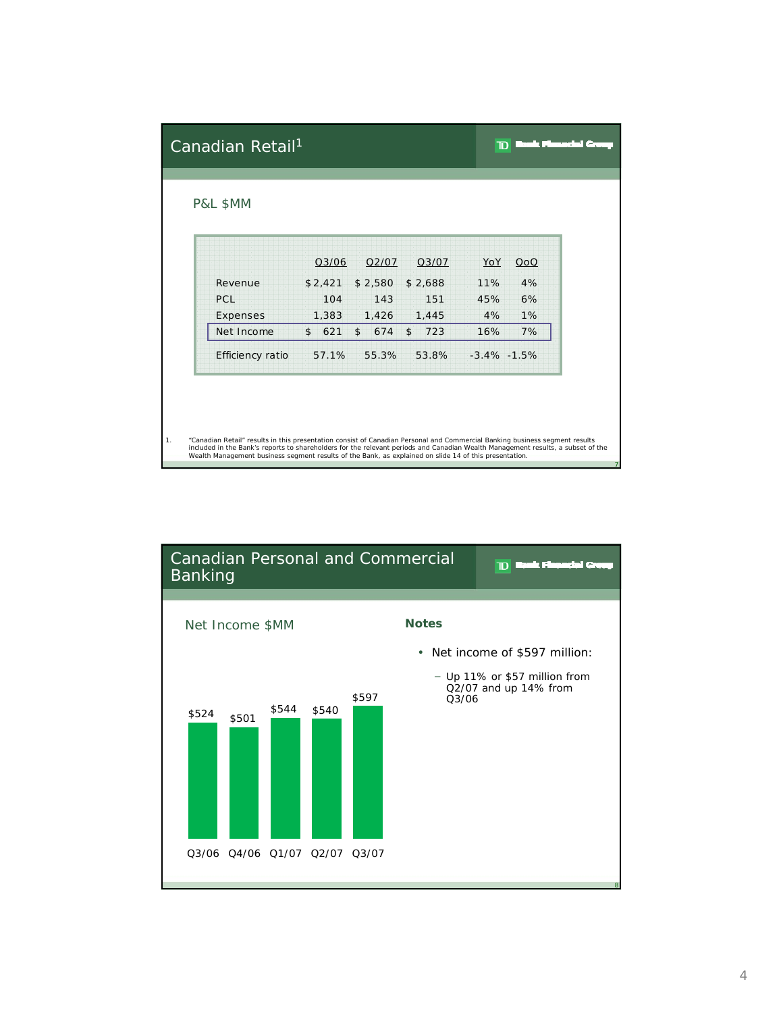| Canadian Retail <sup>1</sup>                                                                                                                                                                                                                                                                                                                                             |         | ank Finnadal Ga<br>$\mathbf{D}$ |                      |                 |     |  |
|--------------------------------------------------------------------------------------------------------------------------------------------------------------------------------------------------------------------------------------------------------------------------------------------------------------------------------------------------------------------------|---------|---------------------------------|----------------------|-----------------|-----|--|
| P&L \$MM                                                                                                                                                                                                                                                                                                                                                                 |         |                                 |                      |                 |     |  |
|                                                                                                                                                                                                                                                                                                                                                                          | Q3/06   | Q2/07                           | Q3/07                | YoY             | QoQ |  |
| Revenue                                                                                                                                                                                                                                                                                                                                                                  | \$2,421 | \$2,580                         | \$2,688              | 11%             | 4%  |  |
| PCL                                                                                                                                                                                                                                                                                                                                                                      | 104     | 143                             | 151                  | 45%             | 6%  |  |
| Expenses                                                                                                                                                                                                                                                                                                                                                                 | 1,383   | 1,426                           | 1,445                | 4%              | 1%  |  |
| Net Income                                                                                                                                                                                                                                                                                                                                                               | \$621   | \$674                           | 723<br>$\mathsf{\$}$ | 16%             | 7%  |  |
| Efficiency ratio                                                                                                                                                                                                                                                                                                                                                         | 57.1%   | 55.3%                           | 53.8%                | $-3.4\% -1.5\%$ |     |  |
|                                                                                                                                                                                                                                                                                                                                                                          |         |                                 |                      |                 |     |  |
|                                                                                                                                                                                                                                                                                                                                                                          |         |                                 |                      |                 |     |  |
|                                                                                                                                                                                                                                                                                                                                                                          |         |                                 |                      |                 |     |  |
| "Canadian Retail" results in this presentation consist of Canadian Personal and Commercial Banking business segment results<br>included in the Bank's reports to shareholders for the relevant periods and Canadian Wealth Management results, a subset of the<br>Wealth Management business segment results of the Bank, as explained on slide 14 of this presentation. |         |                                 |                      |                 |     |  |

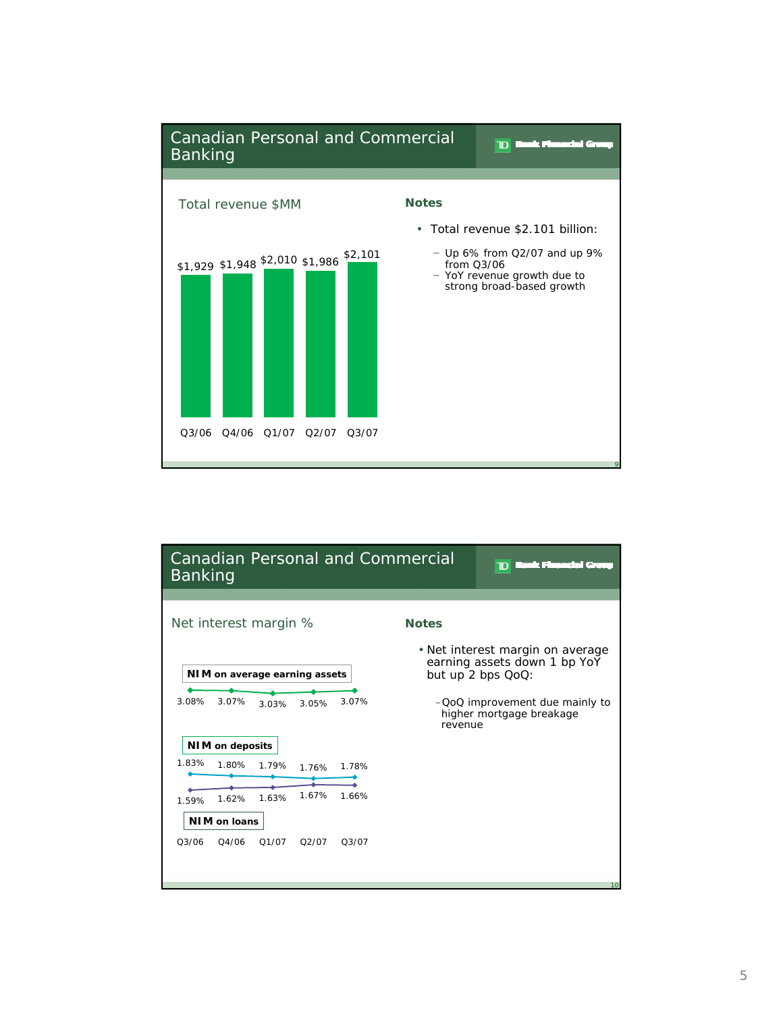

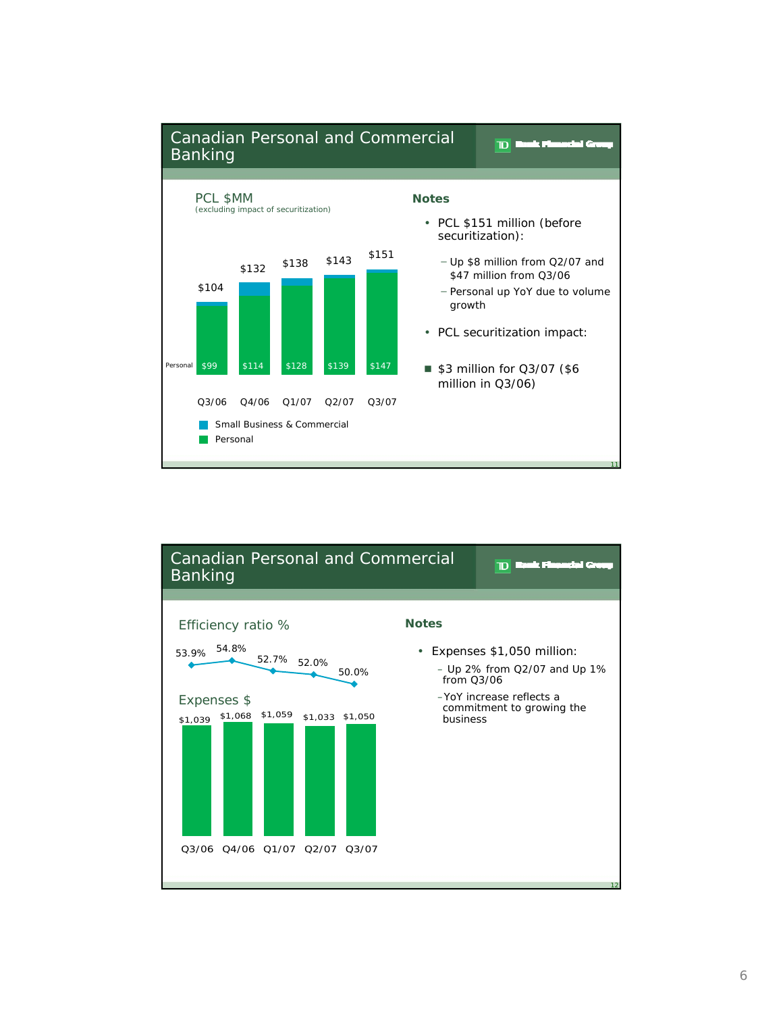

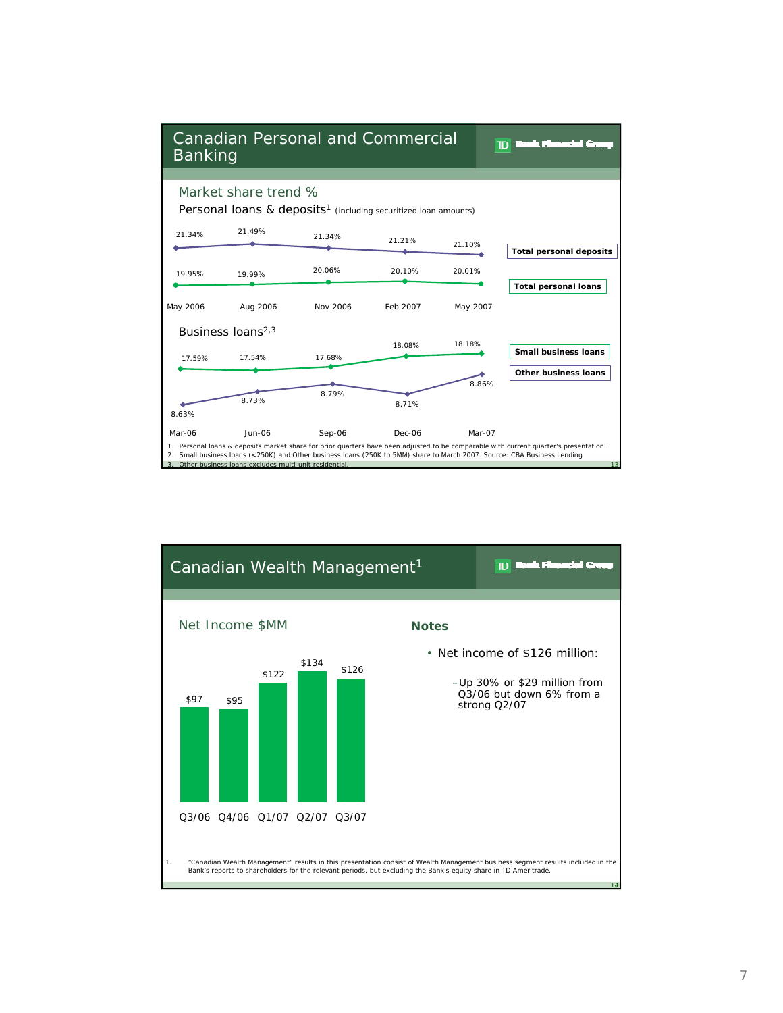

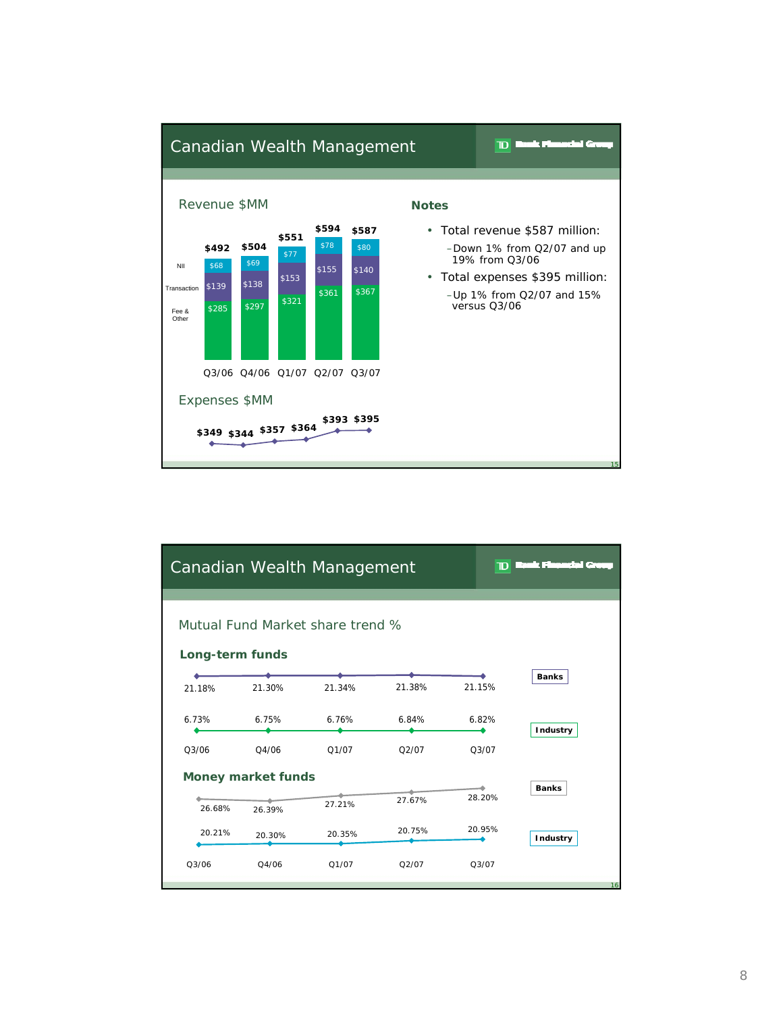

|                 |                                     | Canadian Wealth Management       |        | $\mathbf{D}$ | Firencial Cal   |
|-----------------|-------------------------------------|----------------------------------|--------|--------------|-----------------|
| Long-term funds |                                     | Mutual Fund Market share trend % |        |              |                 |
| 21.18%          | 21.30%                              | 21.34%                           | 21.38% | 21 15%       | <b>Banks</b>    |
| 6.73%           | 6.75%                               | 6.76%                            | 6.84%  | 6.82%        | <b>Industry</b> |
| Q3/06           | 04/06                               | 01/07                            | O2/07  | 03/07        |                 |
| 26.68%          | <b>Money market funds</b><br>26.39% | 27.21%                           | 27.67% | 28.20%       | <b>Banks</b>    |
| 20.21%          | 20.30%                              | 20.35%                           | 20.75% | 20.95%       | Industry        |
| Q3/06           | Q4/06                               | Q1/07                            | Q2/07  | Q3/07        | 16              |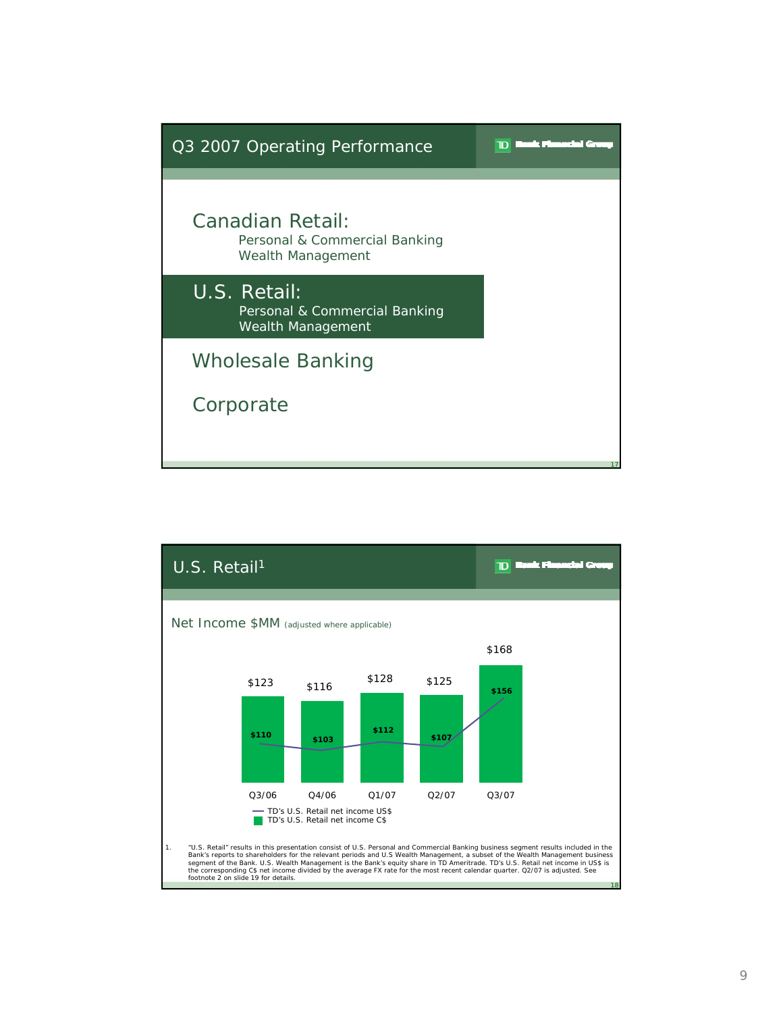

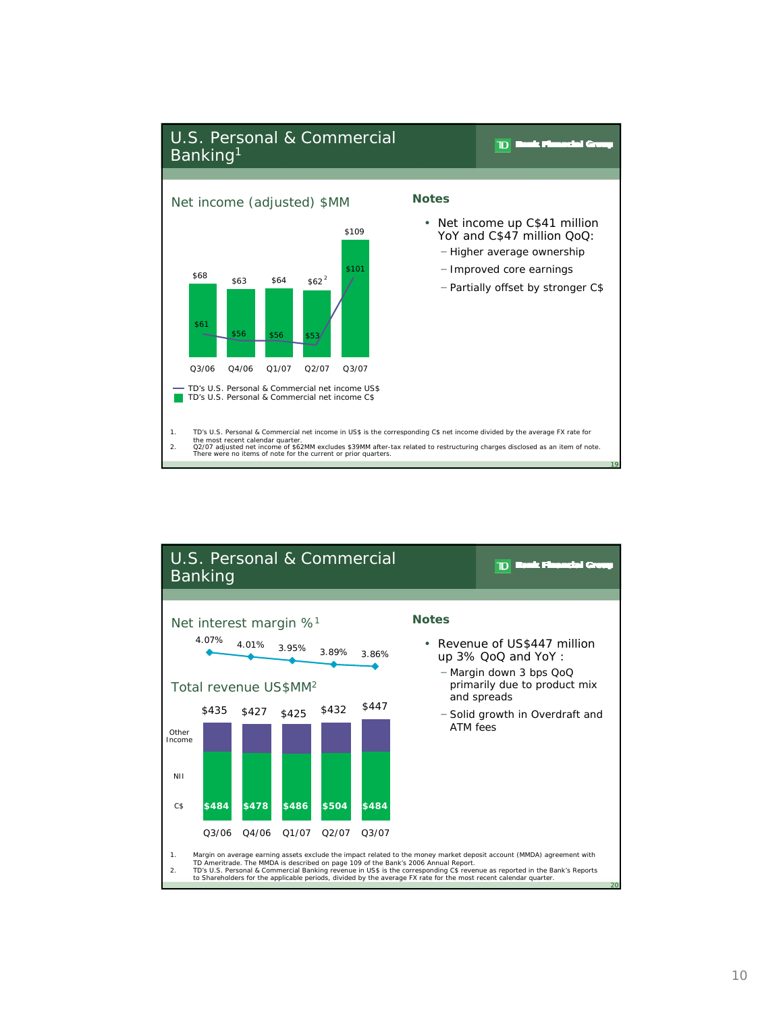

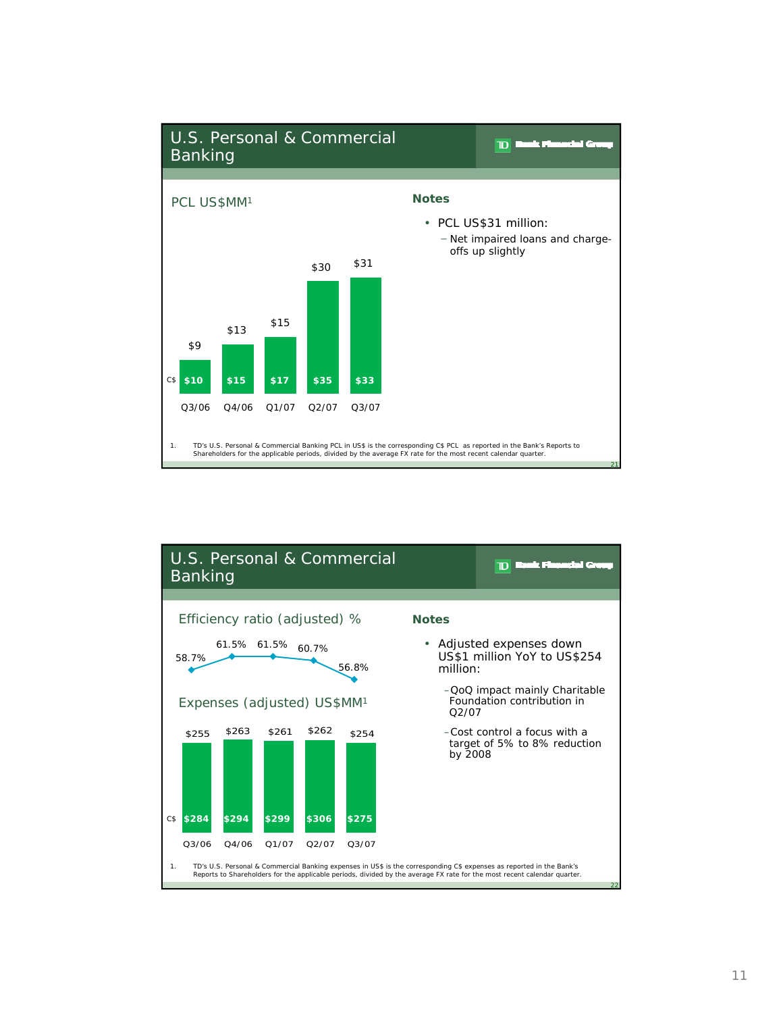

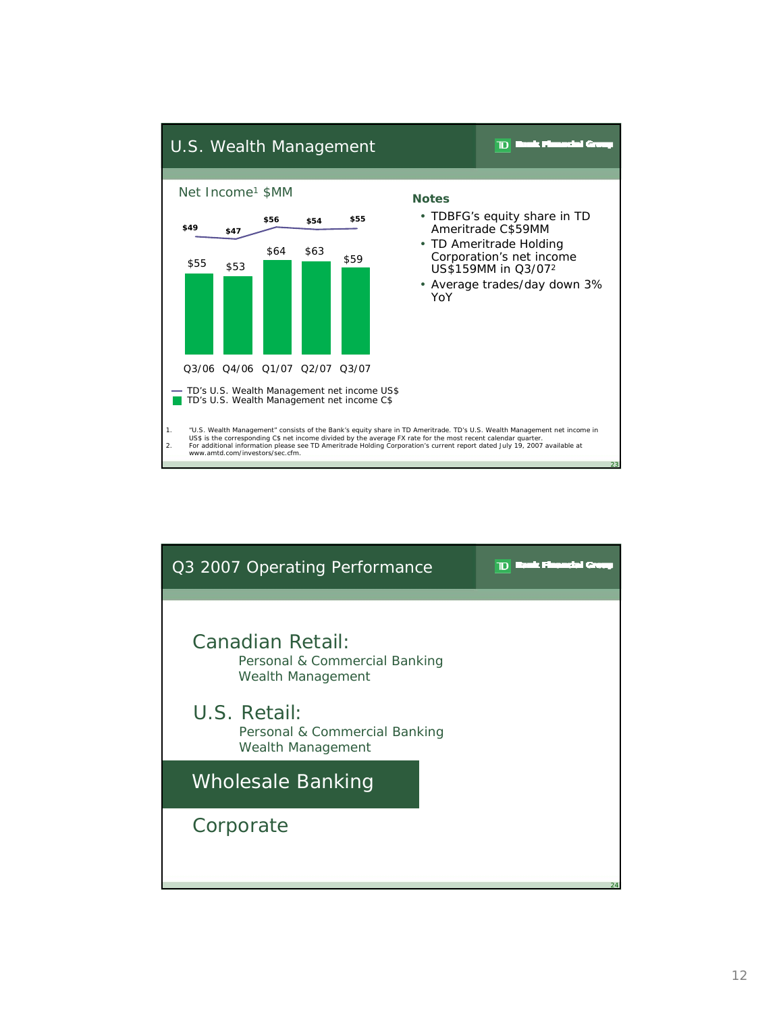

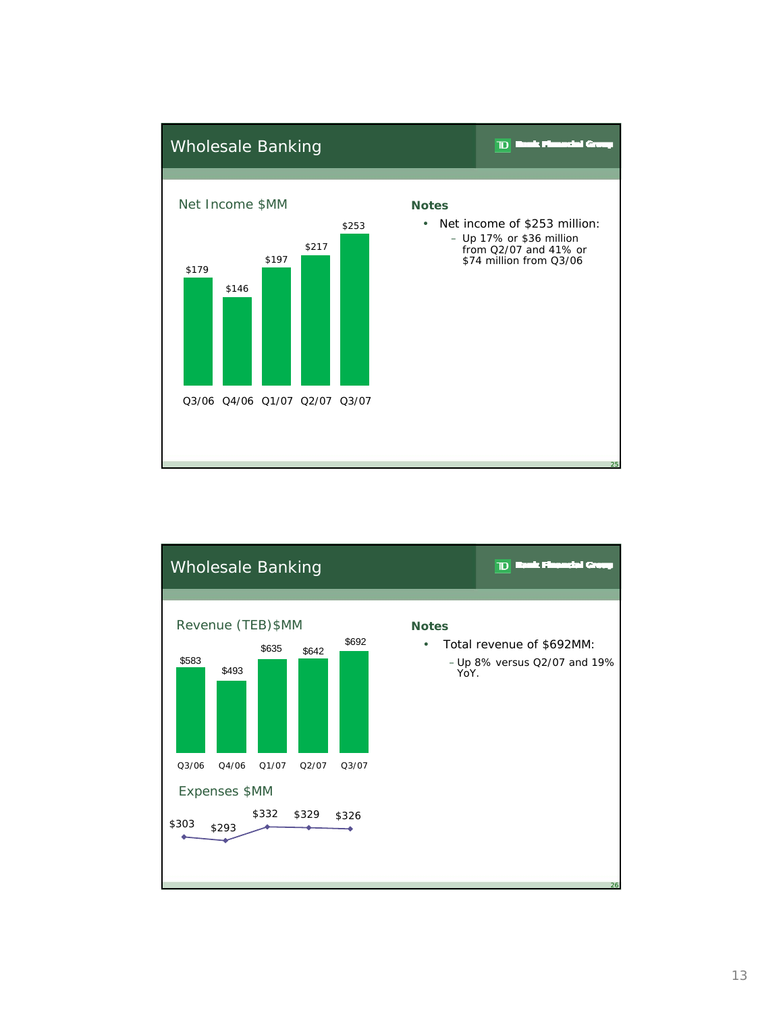

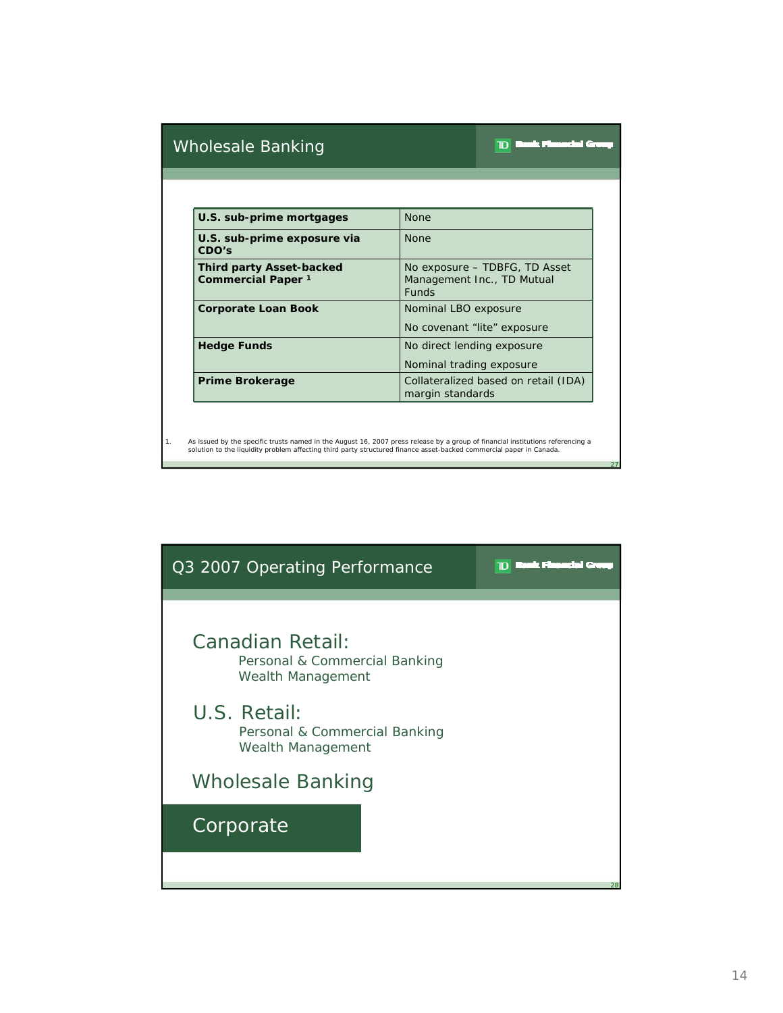| Wholesale Banking                                                | an di second de                                                             |
|------------------------------------------------------------------|-----------------------------------------------------------------------------|
|                                                                  |                                                                             |
| U.S. sub-prime mortgages                                         | <b>None</b>                                                                 |
| U.S. sub-prime exposure via<br>CDO's                             | <b>None</b>                                                                 |
| <b>Third party Asset-backed</b><br>Commercial Paper <sup>1</sup> | No exposure - TDBFG, TD Asset<br>Management Inc., TD Mutual<br><b>Funds</b> |
| <b>Corporate Loan Book</b>                                       | Nominal LBO exposure<br>No covenant "lite" exposure                         |
| <b>Hedge Funds</b>                                               | No direct lending exposure<br>Nominal trading exposure                      |
| <b>Prime Brokerage</b>                                           | Collateralized based on retail (IDA)<br>margin standards                    |

1. As issued by the specific trusts named in the August 16, 2007 press release by a group of financial institutions referencing a<br>solution to the liquidity problem affecting third party structured finance asset-backed comm



27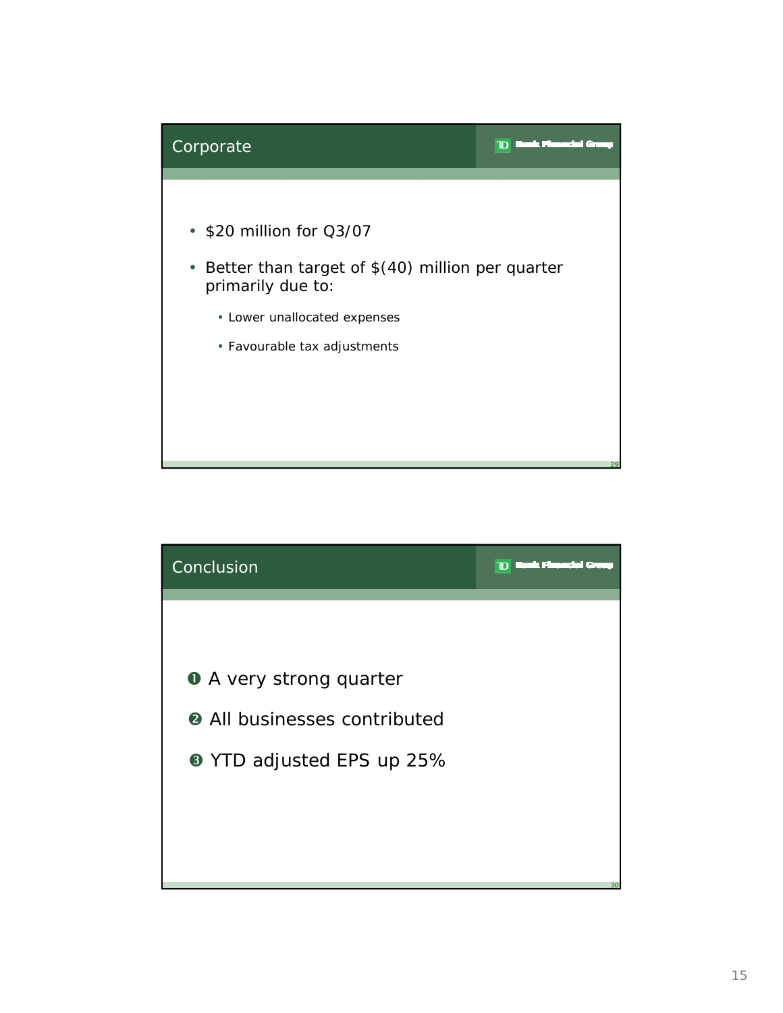